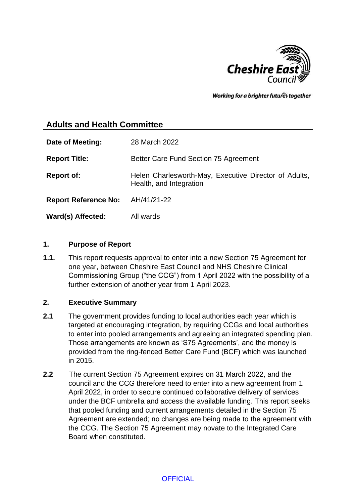

Working for a brighter futures together

# **Adults and Health Committee**

| Date of Meeting:            | 28 March 2022                                                                    |
|-----------------------------|----------------------------------------------------------------------------------|
| <b>Report Title:</b>        | Better Care Fund Section 75 Agreement                                            |
| <b>Report of:</b>           | Helen Charlesworth-May, Executive Director of Adults,<br>Health, and Integration |
| <b>Report Reference No:</b> | AH/41/21-22                                                                      |
| Ward(s) Affected:           | All wards                                                                        |

### **1. Purpose of Report**

**1.1.** This report requests approval to enter into a new Section 75 Agreement for one year, between Cheshire East Council and NHS Cheshire Clinical Commissioning Group ("the CCG") from 1 April 2022 with the possibility of a further extension of another year from 1 April 2023.

### **2. Executive Summary**

- **2.1** The government provides funding to local authorities each year which is targeted at encouraging integration, by requiring CCGs and local authorities to enter into pooled arrangements and agreeing an integrated spending plan. Those arrangements are known as 'S75 Agreements', and the money is provided from the ring-fenced Better Care Fund (BCF) which was launched in 2015.
- **2.2** The current Section 75 Agreement expires on 31 March 2022, and the council and the CCG therefore need to enter into a new agreement from 1 April 2022, in order to secure continued collaborative delivery of services under the BCF umbrella and access the available funding. This report seeks that pooled funding and current arrangements detailed in the Section 75 Agreement are extended; no changes are being made to the agreement with the CCG. The Section 75 Agreement may novate to the Integrated Care Board when constituted.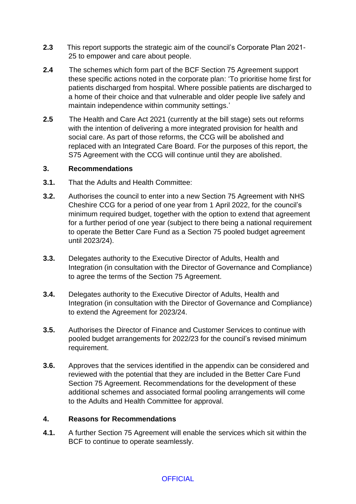- **2.3** This report supports the strategic aim of the council's Corporate Plan 2021- 25 to empower and care about people.
- **2.4** The schemes which form part of the BCF Section 75 Agreement support these specific actions noted in the corporate plan: 'To prioritise home first for patients discharged from hospital. Where possible patients are discharged to a home of their choice and that vulnerable and older people live safely and maintain independence within community settings.'
- **2.5** The Health and Care Act 2021 (currently at the bill stage) sets out reforms with the intention of delivering a more integrated provision for health and social care. As part of those reforms, the CCG will be abolished and replaced with an Integrated Care Board. For the purposes of this report, the S75 Agreement with the CCG will continue until they are abolished.

### **3. Recommendations**

- **3.1.** That the Adults and Health Committee:
- **3.2.** Authorises the council to enter into a new Section 75 Agreement with NHS Cheshire CCG for a period of one year from 1 April 2022, for the council's minimum required budget, together with the option to extend that agreement for a further period of one year (subject to there being a national requirement to operate the Better Care Fund as a Section 75 pooled budget agreement until 2023/24).
- **3.3.** Delegates authority to the Executive Director of Adults, Health and Integration (in consultation with the Director of Governance and Compliance) to agree the terms of the Section 75 Agreement.
- **3.4.** Delegates authority to the Executive Director of Adults, Health and Integration (in consultation with the Director of Governance and Compliance) to extend the Agreement for 2023/24.
- **3.5.** Authorises the Director of Finance and Customer Services to continue with pooled budget arrangements for 2022/23 for the council's revised minimum requirement.
- **3.6.** Approves that the services identified in the appendix can be considered and reviewed with the potential that they are included in the Better Care Fund Section 75 Agreement. Recommendations for the development of these additional schemes and associated formal pooling arrangements will come to the Adults and Health Committee for approval.

### **4. Reasons for Recommendations**

**4.1.** A further Section 75 Agreement will enable the services which sit within the BCF to continue to operate seamlessly.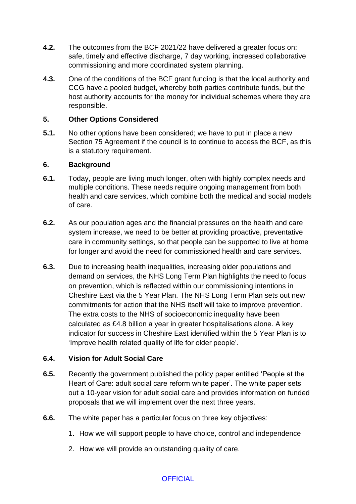- **4.2.** The outcomes from the BCF 2021/22 have delivered a greater focus on: safe, timely and effective discharge, 7 day working, increased collaborative commissioning and more coordinated system planning.
- **4.3.** One of the conditions of the BCF grant funding is that the local authority and CCG have a pooled budget, whereby both parties contribute funds, but the host authority accounts for the money for individual schemes where they are responsible.

### **5. Other Options Considered**

**5.1.** No other options have been considered; we have to put in place a new Section 75 Agreement if the council is to continue to access the BCF, as this is a statutory requirement.

### **6. Background**

- **6.1.** Today, people are living much longer, often with highly complex needs and multiple conditions. These needs require ongoing management from both health and care services, which combine both the medical and social models of care.
- **6.2.** As our population ages and the financial pressures on the health and care system increase, we need to be better at providing proactive, preventative care in community settings, so that people can be supported to live at home for longer and avoid the need for commissioned health and care services.
- **6.3.** Due to increasing health inequalities, increasing older populations and demand on services, the NHS Long Term Plan highlights the need to focus on prevention, which is reflected within our commissioning intentions in Cheshire East via the 5 Year Plan. The NHS Long Term Plan sets out new commitments for action that the NHS itself will take to improve prevention. The extra costs to the NHS of socioeconomic inequality have been calculated as £4.8 billion a year in greater hospitalisations alone. A key indicator for success in Cheshire East identified within the 5 Year Plan is to 'Improve health related quality of life for older people'.

### **6.4. Vision for Adult Social Care**

- **6.5.** Recently the government published the policy paper entitled 'People at the Heart of Care: adult social care reform white paper'. The white paper sets out a 10-year vision for adult social care and provides information on funded proposals that we will implement over the next three years.
- **6.6.** The white paper has a particular focus on three key objectives:
	- 1. How we will support people to have choice, control and independence
	- 2. How we will provide an outstanding quality of care.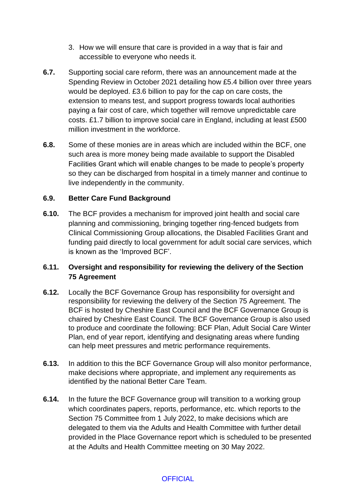- 3. How we will ensure that care is provided in a way that is fair and accessible to everyone who needs it.
- **6.7.** Supporting social care reform, there was an announcement made at the Spending Review in October 2021 detailing how £5.4 billion over three years would be deployed. £3.6 billion to pay for the cap on care costs, the extension to means test, and support progress towards local authorities paying a fair cost of care, which together will remove unpredictable care costs. £1.7 billion to improve social care in England, including at least £500 million investment in the workforce.
- **6.8.** Some of these monies are in areas which are included within the BCF, one such area is more money being made available to support the Disabled Facilities Grant which will enable changes to be made to people's property so they can be discharged from hospital in a timely manner and continue to live independently in the community.

## **6.9. Better Care Fund Background**

**6.10.** The BCF provides a mechanism for improved joint health and social care planning and commissioning, bringing together ring-fenced budgets from Clinical Commissioning Group allocations, the Disabled Facilities Grant and funding paid directly to local government for adult social care services, which is known as the 'Improved BCF'.

# **6.11. Oversight and responsibility for reviewing the delivery of the Section 75 Agreement**

- **6.12.** Locally the BCF Governance Group has responsibility for oversight and responsibility for reviewing the delivery of the Section 75 Agreement. The BCF is hosted by Cheshire East Council and the BCF Governance Group is chaired by Cheshire East Council. The BCF Governance Group is also used to produce and coordinate the following: BCF Plan, Adult Social Care Winter Plan, end of year report, identifying and designating areas where funding can help meet pressures and metric performance requirements.
- **6.13.** In addition to this the BCF Governance Group will also monitor performance, make decisions where appropriate, and implement any requirements as identified by the national Better Care Team.
- **6.14.** In the future the BCF Governance group will transition to a working group which coordinates papers, reports, performance, etc. which reports to the Section 75 Committee from 1 July 2022, to make decisions which are delegated to them via the Adults and Health Committee with further detail provided in the Place Governance report which is scheduled to be presented at the Adults and Health Committee meeting on 30 May 2022.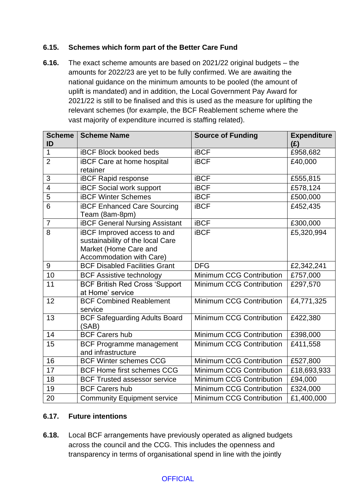## **6.15. Schemes which form part of the Better Care Fund**

**6.16.** The exact scheme amounts are based on 2021/22 original budgets – the amounts for 2022/23 are yet to be fully confirmed. We are awaiting the national guidance on the minimum amounts to be pooled (the amount of uplift is mandated) and in addition, the Local Government Pay Award for 2021/22 is still to be finalised and this is used as the measure for uplifting the relevant schemes (for example, the BCF Reablement scheme where the vast majority of expenditure incurred is staffing related).

| <b>Scheme</b><br>ID | <b>Scheme Name</b>                                        | <b>Source of Funding</b> | <b>Expenditure</b><br>(E) |
|---------------------|-----------------------------------------------------------|--------------------------|---------------------------|
| $\mathbf{1}$        | <b>iBCF Block booked beds</b>                             | <b>iBCF</b>              | £958,682                  |
| $\overline{2}$      | <b>iBCF Care at home hospital</b>                         | <b>iBCF</b>              | £40,000                   |
|                     | retainer                                                  |                          |                           |
| 3                   | <b>iBCF Rapid response</b>                                | <b>iBCF</b>              | £555,815                  |
| $\overline{4}$      | <b>iBCF Social work support</b>                           | <b>iBCF</b>              | £578,124                  |
| 5                   | <b>iBCF Winter Schemes</b>                                | <b>iBCF</b>              | £500,000                  |
| 6                   | <b>IBCF Enhanced Care Sourcing</b>                        | <b>iBCF</b>              | £452,435                  |
|                     | Team (8am-8pm)                                            |                          |                           |
| $\overline{7}$      | <b>iBCF General Nursing Assistant</b>                     | <b>iBCF</b>              | £300,000                  |
| 8                   | iBCF Improved access to and                               | <b>iBCF</b>              | £5,320,994                |
|                     | sustainability of the local Care                          |                          |                           |
|                     | Market (Home Care and                                     |                          |                           |
|                     | Accommodation with Care)                                  |                          |                           |
| 9                   | <b>BCF Disabled Facilities Grant</b>                      | <b>DFG</b>               | £2,342,241                |
| 10                  | <b>BCF Assistive technology</b>                           | Minimum CCG Contribution | £757,000                  |
| 11                  | <b>BCF British Red Cross 'Support</b><br>at Home' service | Minimum CCG Contribution | £297,570                  |
| 12                  | <b>BCF Combined Reablement</b><br>service                 | Minimum CCG Contribution | £4,771,325                |
| 13                  | <b>BCF Safeguarding Adults Board</b>                      | Minimum CCG Contribution | £422,380                  |
|                     | (SAB)                                                     |                          |                           |
| 14                  | <b>BCF Carers hub</b>                                     | Minimum CCG Contribution | £398,000                  |
| 15                  | <b>BCF Programme management</b>                           | Minimum CCG Contribution | £411,558                  |
|                     | and infrastructure                                        |                          |                           |
| 16                  | <b>BCF Winter schemes CCG</b>                             | Minimum CCG Contribution | £527,800                  |
| 17                  | <b>BCF Home first schemes CCG</b>                         | Minimum CCG Contribution | £18,693,933               |
| 18                  | <b>BCF Trusted assessor service</b>                       | Minimum CCG Contribution | £94,000                   |
| 19                  | <b>BCF Carers hub</b>                                     | Minimum CCG Contribution | £324,000                  |
| 20                  | <b>Community Equipment service</b>                        | Minimum CCG Contribution | £1,400,000                |

## **6.17. Future intentions**

**6.18.** Local BCF arrangements have previously operated as aligned budgets across the council and the CCG. This includes the openness and transparency in terms of organisational spend in line with the jointly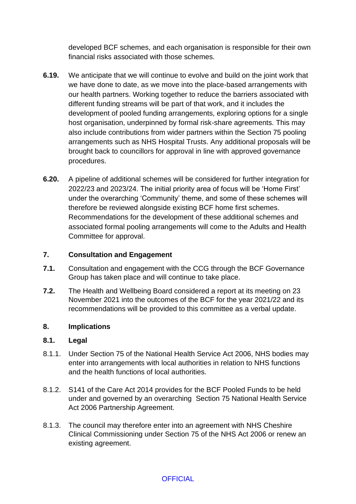developed BCF schemes, and each organisation is responsible for their own financial risks associated with those schemes.

- **6.19.** We anticipate that we will continue to evolve and build on the joint work that we have done to date, as we move into the place-based arrangements with our health partners. Working together to reduce the barriers associated with different funding streams will be part of that work, and it includes the development of pooled funding arrangements, exploring options for a single host organisation, underpinned by formal risk-share agreements. This may also include contributions from wider partners within the Section 75 pooling arrangements such as NHS Hospital Trusts. Any additional proposals will be brought back to councillors for approval in line with approved governance procedures.
- **6.20.** A pipeline of additional schemes will be considered for further integration for 2022/23 and 2023/24. The initial priority area of focus will be 'Home First' under the overarching 'Community' theme, and some of these schemes will therefore be reviewed alongside existing BCF home first schemes. Recommendations for the development of these additional schemes and associated formal pooling arrangements will come to the Adults and Health Committee for approval.

### **7. Consultation and Engagement**

- **7.1.** Consultation and engagement with the CCG through the BCF Governance Group has taken place and will continue to take place.
- **7.2.** The Health and Wellbeing Board considered a report at its meeting on 23 November 2021 into the outcomes of the BCF for the year 2021/22 and its recommendations will be provided to this committee as a verbal update.

### **8. Implications**

### **8.1. Legal**

- 8.1.1. Under Section 75 of the National Health Service Act 2006, NHS bodies may enter into arrangements with local authorities in relation to NHS functions and the health functions of local authorities.
- 8.1.2. S141 of the Care Act 2014 provides for the BCF Pooled Funds to be held under and governed by an overarching Section 75 National Health Service Act 2006 Partnership Agreement.
- 8.1.3. The council may therefore enter into an agreement with NHS Cheshire Clinical Commissioning under Section 75 of the NHS Act 2006 or renew an existing agreement.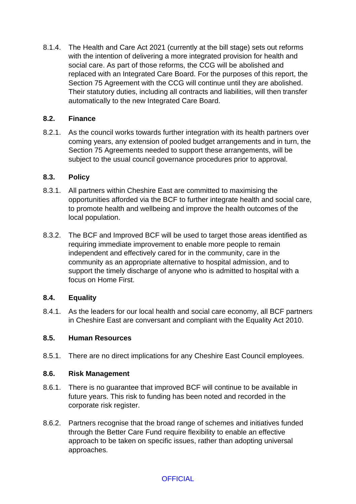8.1.4. The Health and Care Act 2021 (currently at the bill stage) sets out reforms with the intention of delivering a more integrated provision for health and social care. As part of those reforms, the CCG will be abolished and replaced with an Integrated Care Board. For the purposes of this report, the Section 75 Agreement with the CCG will continue until they are abolished. Their statutory duties, including all contracts and liabilities, will then transfer automatically to the new Integrated Care Board.

### **8.2. Finance**

8.2.1. As the council works towards further integration with its health partners over coming years, any extension of pooled budget arrangements and in turn, the Section 75 Agreements needed to support these arrangements, will be subject to the usual council governance procedures prior to approval.

### **8.3. Policy**

- 8.3.1. All partners within Cheshire East are committed to maximising the opportunities afforded via the BCF to further integrate health and social care, to promote health and wellbeing and improve the health outcomes of the local population.
- 8.3.2. The BCF and Improved BCF will be used to target those areas identified as requiring immediate improvement to enable more people to remain independent and effectively cared for in the community, care in the community as an appropriate alternative to hospital admission, and to support the timely discharge of anyone who is admitted to hospital with a focus on Home First.

## **8.4. Equality**

8.4.1. As the leaders for our local health and social care economy, all BCF partners in Cheshire East are conversant and compliant with the Equality Act 2010.

### **8.5. Human Resources**

8.5.1. There are no direct implications for any Cheshire East Council employees.

### **8.6. Risk Management**

- 8.6.1. There is no guarantee that improved BCF will continue to be available in future years. This risk to funding has been noted and recorded in the corporate risk register.
- 8.6.2. Partners recognise that the broad range of schemes and initiatives funded through the Better Care Fund require flexibility to enable an effective approach to be taken on specific issues, rather than adopting universal approaches.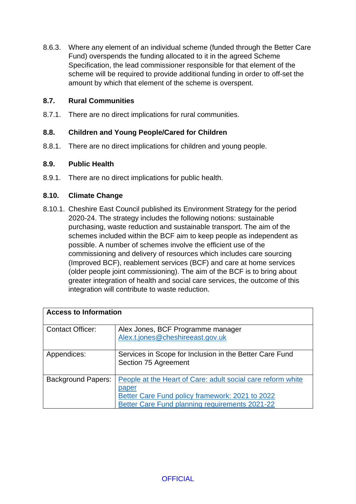8.6.3. Where any element of an individual scheme (funded through the Better Care Fund) overspends the funding allocated to it in the agreed Scheme Specification, the lead commissioner responsible for that element of the scheme will be required to provide additional funding in order to off-set the amount by which that element of the scheme is overspent.

### **8.7. Rural Communities**

8.7.1. There are no direct implications for rural communities.

### **8.8. Children and Young People/Cared for Children**

8.8.1. There are no direct implications for children and young people.

### **8.9. Public Health**

8.9.1. There are no direct implications for public health.

### **8.10. Climate Change**

8.10.1. Cheshire East Council published its Environment Strategy for the period 2020-24. The strategy includes the following notions: sustainable purchasing, waste reduction and sustainable transport. The aim of the schemes included within the BCF aim to keep people as independent as possible. A number of schemes involve the efficient use of the commissioning and delivery of resources which includes care sourcing (Improved BCF), reablement services (BCF) and care at home services (older people joint commissioning). The aim of the BCF is to bring about greater integration of health and social care services, the outcome of this integration will contribute to waste reduction.

| <b>Access to Information</b> |                                                                                                                                                                                  |  |  |
|------------------------------|----------------------------------------------------------------------------------------------------------------------------------------------------------------------------------|--|--|
| <b>Contact Officer:</b>      | Alex Jones, BCF Programme manager<br>Alex.t.jones@cheshireeast.gov.uk                                                                                                            |  |  |
| Appendices:                  | Services in Scope for Inclusion in the Better Care Fund<br>Section 75 Agreement                                                                                                  |  |  |
| <b>Background Papers:</b>    | People at the Heart of Care: adult social care reform white<br>paper<br>Better Care Fund policy framework: 2021 to 2022<br><b>Better Care Fund planning requirements 2021-22</b> |  |  |